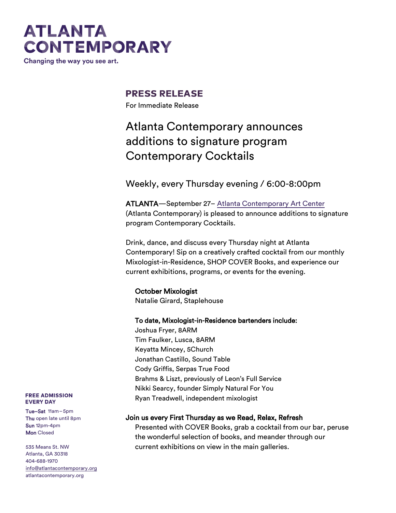# **ATLANTA CONTEMPORARY**

Changing the way you see art.

### **PRESS RELEASE**

For Immediate Release

### Atlanta Contemporary announces additions to signature program Contemporary Cocktails

Weekly, every Thursday evening / 6:00-8:00pm

ATLANTA—September 27– [Atlanta Contemporary Art Center](http://atlantacontemporary.org/) (Atlanta Contemporary) is pleased to announce additions to signature program Contemporary Cocktails.

Drink, dance, and discuss every Thursday night at Atlanta Contemporary! Sip on a creatively crafted cocktail from our monthly Mixologist-in-Residence, SHOP COVER Books, and experience our current exhibitions, programs, or events for the evening.

### October Mixologist

Natalie Girard, Staplehouse

### To date, Mixologist-in-Residence bartenders include:

Joshua Fryer, 8ARM Tim Faulker, Lusca, 8ARM Keyatta Mincey, 5Church Jonathan Castillo, Sound Table Cody Griffis, Serpas True Food Brahms & Liszt, previously of Leon's Full Service Nikki Searcy, founder Simply Natural For You Ryan Treadwell, independent mixologist

### Join us every First Thursday as we Read, Relax, Refresh

Presented with COVER Books, grab a cocktail from our bar, peruse the wonderful selection of books, and meander through our current exhibitions on view in the main galleries.

#### **FREE ADMISSION EVERY DAY**

Tue–Sat 11am–5pm Thu open late until 8pm Sun 12pm-4pm **Mon** Closed

535 Means St. NW Atlanta, GA 30318 404-688-1970 [info@atlantacontemporary.org](mailto:info@atlantacontemporary.org) atlantacontemporary.org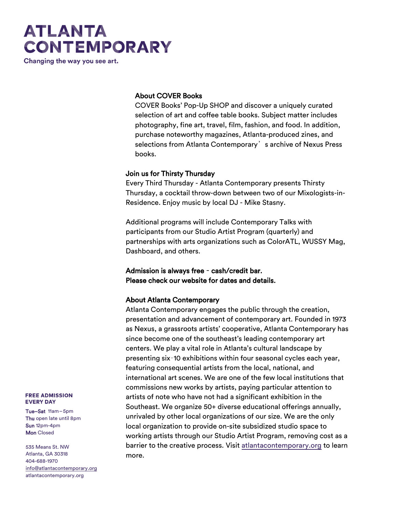# **ATLANTA CONTEMPORARY**

Changing the way you see art.

### About COVER Books

COVER Books' Pop-Up SHOP and discover a uniquely curated selection of art and coffee table books. Subject matter includes photography, fine art, travel, film, fashion, and food. In addition, purchase noteworthy magazines, Atlanta-produced zines, and selections from Atlanta Contemporary's archive of Nexus Press books.

#### Join us for Thirsty Thursday

Every Third Thursday - Atlanta Contemporary presents Thirsty Thursday, a cocktail throw-down between two of our Mixologists-in-Residence. Enjoy music by local DJ - Mike Stasny.

Additional programs will include Contemporary Talks with participants from our Studio Artist Program (quarterly) and partnerships with arts organizations such as ColorATL, WUSSY Mag, Dashboard, and others.

Admission is always free – cash/credit bar. Please check our website for dates and details.

### About Atlanta Contemporary

Atlanta Contemporary engages the public through the creation, presentation and advancement of contemporary art. Founded in 1973 as Nexus, a grassroots artists' cooperative, Atlanta Contemporary has since become one of the southeast's leading contemporary art centers. We play a vital role in Atlanta's cultural landscape by presenting six–10 exhibitions within four seasonal cycles each year, featuring consequential artists from the local, national, and international art scenes. We are one of the few local institutions that commissions new works by artists, paying particular attention to artists of note who have not had a significant exhibition in the Southeast. We organize 50+ diverse educational offerings annually, unrivaled by other local organizations of our size. We are the only local organization to provide on-site subsidized studio space to working artists through our Studio Artist Program, removing cost as a barrier to the creative process. Visit [atlantacontemporary.org](https://atlantacontemporary.org/) to learn more.

#### **FREE ADMISSION EVERY DAY**

Tue–Sat 11am–5pm Thu open late until 8pm Sun 12pm-4pm **Mon** Closed

535 Means St. NW Atlanta, GA 30318 404-688-1970 [info@atlantacontemporary.org](mailto:info@atlantacontemporary.org) atlantacontemporary.org